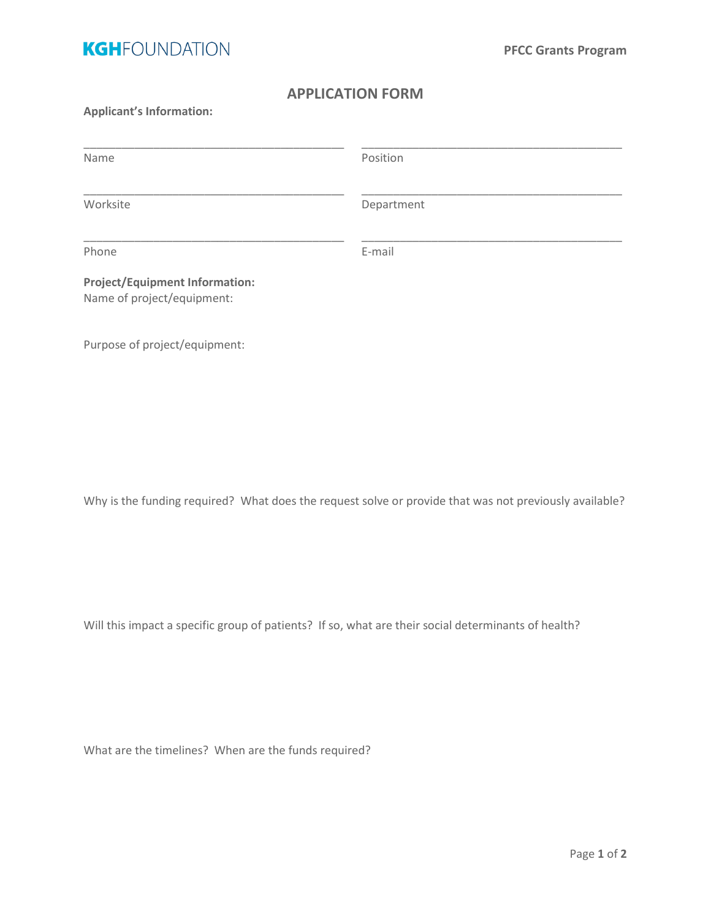

## **APPLICATION FORM**

## **Applicant's Information:**

| Name                                                                | Position   |  |
|---------------------------------------------------------------------|------------|--|
| Worksite                                                            | Department |  |
| Phone                                                               | E-mail     |  |
| <b>Project/Equipment Information:</b><br>Name of project/equipment: |            |  |

Purpose of project/equipment:

Why is the funding required? What does the request solve or provide that was not previously available?

Will this impact a specific group of patients? If so, what are their social determinants of health?

What are the timelines? When are the funds required?